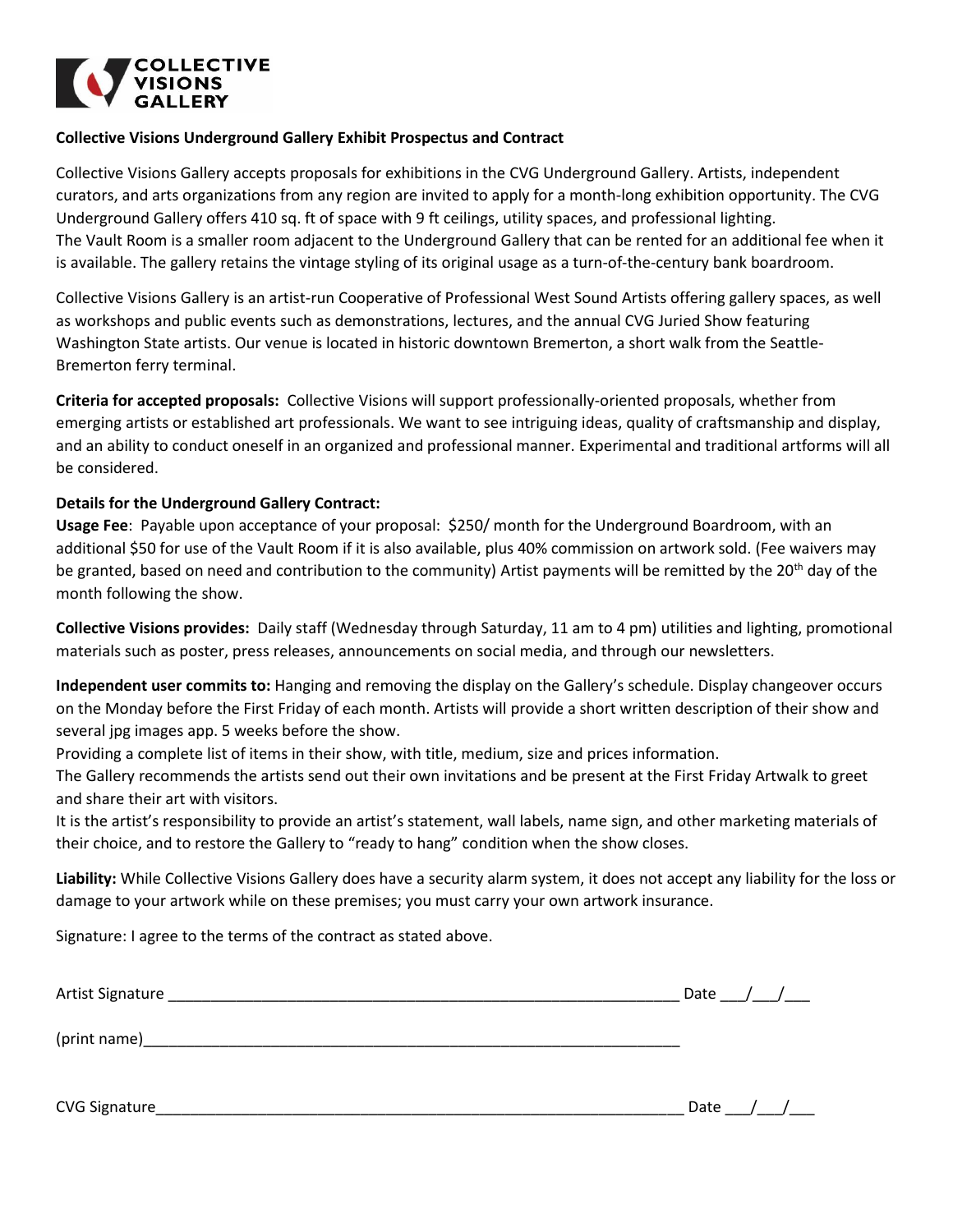

## **Collective Visions Underground Gallery Exhibit Prospectus and Contract**

Collective Visions Gallery accepts proposals for exhibitions in the CVG Underground Gallery. Artists, independent curators, and arts organizations from any region are invited to apply for a month-long exhibition opportunity. The CVG Underground Gallery offers 410 sq. ft of space with 9 ft ceilings, utility spaces, and professional lighting. The Vault Room is a smaller room adjacent to the Underground Gallery that can be rented for an additional fee when it is available. The gallery retains the vintage styling of its original usage as a turn-of-the-century bank boardroom.

Collective Visions Gallery is an artist-run Cooperative of Professional West Sound Artists offering gallery spaces, as well as workshops and public events such as demonstrations, lectures, and the annual CVG Juried Show featuring Washington State artists. Our venue is located in historic downtown Bremerton, a short walk from the Seattle-Bremerton ferry terminal.

**Criteria for accepted proposals:** Collective Visions will support professionally-oriented proposals, whether from emerging artists or established art professionals. We want to see intriguing ideas, quality of craftsmanship and display, and an ability to conduct oneself in an organized and professional manner. Experimental and traditional artforms will all be considered.

## **Details for the Underground Gallery Contract:**

**Usage Fee**: Payable upon acceptance of your proposal: \$250/ month for the Underground Boardroom, with an additional \$50 for use of the Vault Room if it is also available, plus 40% commission on artwork sold. (Fee waivers may be granted, based on need and contribution to the community) Artist payments will be remitted by the 20<sup>th</sup> day of the month following the show.

**Collective Visions provides:** Daily staff (Wednesday through Saturday, 11 am to 4 pm) utilities and lighting, promotional materials such as poster, press releases, announcements on social media, and through our newsletters.

**Independent user commits to:** Hanging and removing the display on the Gallery's schedule. Display changeover occurs on the Monday before the First Friday of each month. Artists will provide a short written description of their show and several jpg images app. 5 weeks before the show.

Providing a complete list of items in their show, with title, medium, size and prices information.

The Gallery recommends the artists send out their own invitations and be present at the First Friday Artwalk to greet and share their art with visitors.

It is the artist's responsibility to provide an artist's statement, wall labels, name sign, and other marketing materials of their choice, and to restore the Gallery to "ready to hang" condition when the show closes.

**Liability:** While Collective Visions Gallery does have a security alarm system, it does not accept any liability for the loss or damage to your artwork while on these premises; you must carry your own artwork insurance.

Signature: I agree to the terms of the contract as stated above.

| Artist Signature | Date |
|------------------|------|
| (print name)     |      |
|                  |      |
| CVG Signature    | Date |